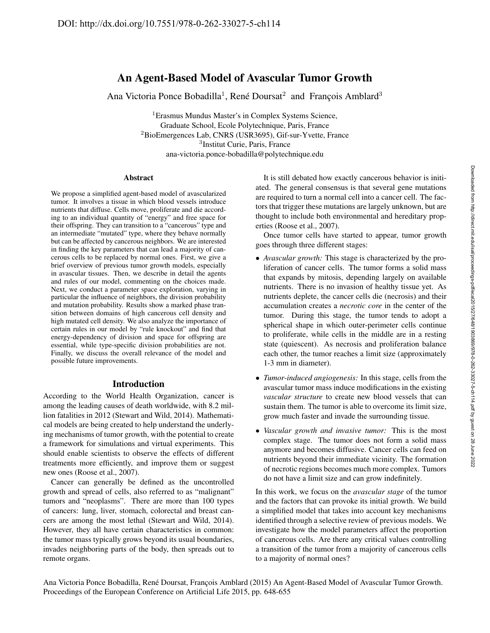# An Agent-Based Model of Avascular Tumor Growth

Ana Victoria Ponce Bobadilla<sup>1</sup>, René Doursat<sup>2</sup> and François Amblard<sup>3</sup>

<sup>1</sup>Erasmus Mundus Master's in Complex Systems Science, Graduate School, Ecole Polytechnique, Paris, France <sup>2</sup>BioEmergences Lab, CNRS (USR3695), Gif-sur-Yvette, France 3 Institut Curie, Paris, France ana-victoria.ponce-bobadilla@polytechnique.edu

#### Abstract

We propose a simplified agent-based model of avascularized tumor. It involves a tissue in which blood vessels introduce nutrients that diffuse. Cells move, proliferate and die according to an individual quantity of "energy" and free space for their offspring. They can transition to a "cancerous" type and an intermediate "mutated" type, where they behave normally but can be affected by cancerous neighbors. We are interested in finding the key parameters that can lead a majority of cancerous cells to be replaced by normal ones. First, we give a brief overview of previous tumor growth models, especially in avascular tissues. Then, we describe in detail the agents and rules of our model, commenting on the choices made. Next, we conduct a parameter space exploration, varying in particular the influence of neighbors, the division probability and mutation probability. Results show a marked phase transition between domains of high cancerous cell density and high mutated cell density. We also analyze the importance of certain rules in our model by "rule knockout" and find that energy-dependency of division and space for offspring are essential, while type-specific division probabilities are not. Finally, we discuss the overall relevance of the model and possible future improvements.

# Introduction

According to the World Health Organization, cancer is among the leading causes of death worldwide, with 8.2 million fatalities in 2012 (Stewart and Wild, 2014). Mathematical models are being created to help understand the underlying mechanisms of tumor growth, with the potential to create a framework for simulations and virtual experiments. This should enable scientists to observe the effects of different treatments more efficiently, and improve them or suggest new ones (Roose et al., 2007).

Cancer can generally be defined as the uncontrolled growth and spread of cells, also referred to as "malignant" tumors and "neoplasms". There are more than 100 types of cancers: lung, liver, stomach, colorectal and breast cancers are among the most lethal (Stewart and Wild, 2014). However, they all have certain characteristics in common: the tumor mass typically grows beyond its usual boundaries, invades neighboring parts of the body, then spreads out to remote organs.

It is still debated how exactly cancerous behavior is initiated. The general consensus is that several gene mutations are required to turn a normal cell into a cancer cell. The factors that trigger these mutations are largely unknown, but are thought to include both environmental and hereditary properties (Roose et al., 2007).

Once tumor cells have started to appear, tumor growth goes through three different stages:

- *Avascular growth:* This stage is characterized by the proliferation of cancer cells. The tumor forms a solid mass that expands by mitosis, depending largely on available nutrients. There is no invasion of healthy tissue yet. As nutrients deplete, the cancer cells die (necrosis) and their accumulation creates a *necrotic core* in the center of the tumor. During this stage, the tumor tends to adopt a spherical shape in which outer-perimeter cells continue to proliferate, while cells in the middle are in a resting state (quiescent). As necrosis and proliferation balance each other, the tumor reaches a limit size (approximately 1-3 mm in diameter).
- *Tumor-induced angiogenesis:* In this stage, cells from the avascular tumor mass induce modifications in the existing *vascular structure* to create new blood vessels that can sustain them. The tumor is able to overcome its limit size, grow much faster and invade the surrounding tissue.
- *Vascular growth and invasive tumor:* This is the most complex stage. The tumor does not form a solid mass anymore and becomes diffusive. Cancer cells can feed on nutrients beyond their immediate vicinity. The formation of necrotic regions becomes much more complex. Tumors do not have a limit size and can grow indefinitely.

In this work, we focus on the *avascular stage* of the tumor and the factors that can provoke its initial growth. We build a simplified model that takes into account key mechanisms identified through a selective review of previous models. We investigate how the model parameters affect the proportion of cancerous cells. Are there any critical values controlling a transition of the tumor from a majority of cancerous cells to a majority of normal ones?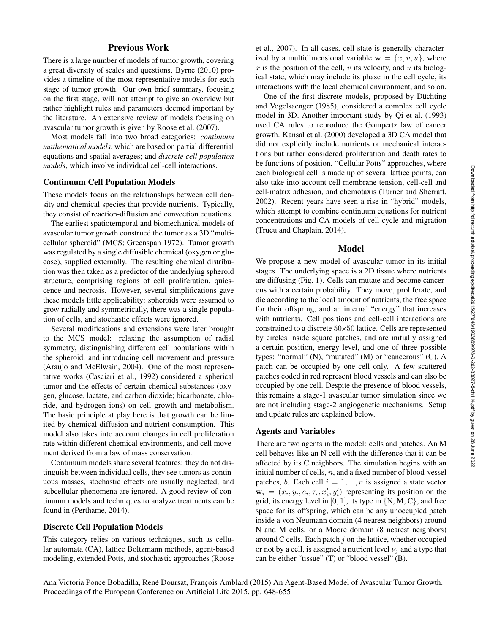# Previous Work

There is a large number of models of tumor growth, covering a great diversity of scales and questions. Byrne (2010) provides a timeline of the most representative models for each stage of tumor growth. Our own brief summary, focusing on the first stage, will not attempt to give an overview but rather highlight rules and parameters deemed important by the literature. An extensive review of models focusing on avascular tumor growth is given by Roose et al. (2007).

Most models fall into two broad categories: *continuum mathematical models*, which are based on partial differential equations and spatial averages; and *discrete cell population models*, which involve individual cell-cell interactions.

### Continuum Cell Population Models

These models focus on the relationships between cell density and chemical species that provide nutrients. Typically, they consist of reaction-diffusion and convection equations.

The earliest spatiotemporal and biomechanical models of avascular tumor growth construed the tumor as a 3D "multicellular spheroid" (MCS; Greenspan 1972). Tumor growth was regulated by a single diffusible chemical (oxygen or glucose), supplied externally. The resulting chemical distribution was then taken as a predictor of the underlying spheroid structure, comprising regions of cell proliferation, quiescence and necrosis. However, several simplifications gave these models little applicability: spheroids were assumed to grow radially and symmetrically, there was a single population of cells, and stochastic effects were ignored.

Several modifications and extensions were later brought to the MCS model: relaxing the assumption of radial symmetry, distinguishing different cell populations within the spheroid, and introducing cell movement and pressure (Araujo and McElwain, 2004). One of the most representative works (Casciari et al., 1992) considered a spherical tumor and the effects of certain chemical substances (oxygen, glucose, lactate, and carbon dioxide; bicarbonate, chloride, and hydrogen ions) on cell growth and metabolism. The basic principle at play here is that growth can be limited by chemical diffusion and nutrient consumption. This model also takes into account changes in cell proliferation rate within different chemical environments, and cell movement derived from a law of mass conservation.

Continuum models share several features: they do not distinguish between individual cells, they see tumors as continuous masses, stochastic effects are usually neglected, and subcellular phenomena are ignored. A good review of continuum models and techniques to analyze treatments can be found in (Perthame, 2014).

### Discrete Cell Population Models

This category relies on various techniques, such as cellular automata (CA), lattice Boltzmann methods, agent-based modeling, extended Potts, and stochastic approaches (Roose et al., 2007). In all cases, cell state is generally characterized by a multidimensional variable  $\mathbf{w} = \{x, v, u\}$ , where x is the position of the cell, v its velocity, and u its biological state, which may include its phase in the cell cycle, its interactions with the local chemical environment, and so on.

One of the first discrete models, proposed by Düchting and Vogelsaenger (1985), considered a complex cell cycle model in 3D. Another important study by Qi et al. (1993) used CA rules to reproduce the Gompertz law of cancer growth. Kansal et al. (2000) developed a 3D CA model that did not explicitly include nutrients or mechanical interactions but rather considered proliferation and death rates to be functions of position. "Cellular Potts" approaches, where each biological cell is made up of several lattice points, can also take into account cell membrane tension, cell-cell and cell-matrix adhesion, and chemotaxis (Turner and Sherratt, 2002). Recent years have seen a rise in "hybrid" models, which attempt to combine continuum equations for nutrient concentrations and CA models of cell cycle and migration (Trucu and Chaplain, 2014).

### Model

We propose a new model of avascular tumor in its initial stages. The underlying space is a 2D tissue where nutrients are diffusing (Fig. 1). Cells can mutate and become cancerous with a certain probability. They move, proliferate, and die according to the local amount of nutrients, the free space for their offspring, and an internal "energy" that increases with nutrients. Cell positions and cell-cell interactions are constrained to a discrete 50×50 lattice. Cells are represented by circles inside square patches, and are initially assigned a certain position, energy level, and one of three possible types: "normal" (N), "mutated" (M) or "cancerous" (C). A patch can be occupied by one cell only. A few scattered patches coded in red represent blood vessels and can also be occupied by one cell. Despite the presence of blood vessels, this remains a stage-1 avascular tumor simulation since we are not including stage-2 angiogenetic mechanisms. Setup and update rules are explained below.

## Agents and Variables

There are two agents in the model: cells and patches. An M cell behaves like an N cell with the difference that it can be affected by its C neighbors. The simulation begins with an initial number of cells,  $n$ , and a fixed number of blood-vessel patches, b. Each cell  $i = 1, ..., n$  is assigned a state vector  $\mathbf{w}_i = (x_i, y_i, e_i, \tau_i, x_i', y_i')$  representing its position on the grid, its energy level in  $[0, 1]$ , its type in  $\{N, M, C\}$ , and free space for its offspring, which can be any unoccupied patch inside a von Neumann domain (4 nearest neighbors) around N and M cells, or a Moore domain (8 nearest neighbors) around C cells. Each patch  $j$  on the lattice, whether occupied or not by a cell, is assigned a nutrient level  $\nu_i$  and a type that can be either "tissue" (T) or "blood vessel" (B).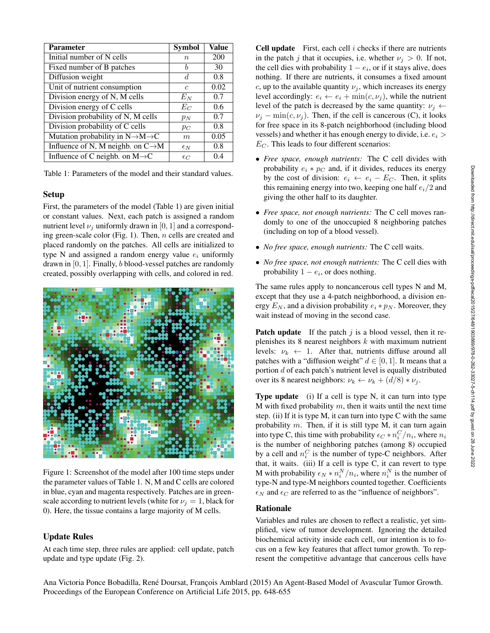| <b>Parameter</b>                                        | <b>Symbol</b>    | Value |
|---------------------------------------------------------|------------------|-------|
| Initial number of N cells                               | $\boldsymbol{n}$ | 200   |
| Fixed number of B patches                               | h                | 30    |
| Diffusion weight                                        | d.               | 0.8   |
| Unit of nutrient consumption                            | $\epsilon$       | 0.02  |
| Division energy of N, M cells                           | $E_N$            | 0.7   |
| Division energy of C cells                              | $E_C$            | 0.6   |
| Division probability of N, M cells                      | $p_N$            | 0.7   |
| Division probability of C cells                         | $p_C$            | 0.8   |
| Mutation probability in $N \rightarrow M \rightarrow C$ | m                | 0.05  |
| Influence of N, M neighb. on $C \rightarrow M$          | $\epsilon_N$     | 0.8   |
| Influence of C neighb. on $M \rightarrow C$             | $\epsilon_C$     | 0.4   |

Table 1: Parameters of the model and their standard values.

# Setup

First, the parameters of the model (Table 1) are given initial or constant values. Next, each patch is assigned a random nutrient level  $\nu_i$  uniformly drawn in [0, 1] and a corresponding green-scale color (Fig. 1). Then,  $n$  cells are created and placed randomly on the patches. All cells are initialized to type N and assigned a random energy value  $e_i$  uniformly drawn in  $[0, 1]$ . Finally, b blood-vessel patches are randomly created, possibly overlapping with cells, and colored in red.



Figure 1: Screenshot of the model after 100 time steps under the parameter values of Table 1. N, M and C cells are colored in blue, cyan and magenta respectively. Patches are in greenscale according to nutrient levels (white for  $\nu_i = 1$ , black for 0). Here, the tissue contains a large majority of M cells.

# Update Rules

At each time step, three rules are applied: cell update, patch update and type update (Fig. 2).

**Cell update** First, each cell  $i$  checks if there are nutrients in the patch j that it occupies, i.e. whether  $\nu_i > 0$ . If not, the cell dies with probability  $1 - e_i$ , or if it stays alive, does nothing. If there are nutrients, it consumes a fixed amount c, up to the available quantity  $\nu_j$ , which increases its energy level accordingly:  $e_i \leftarrow e_i + \min(c, \nu_j)$ , while the nutrient level of the patch is decreased by the same quantity:  $v_i \leftarrow$  $\nu_i - \min(c, \nu_i)$ . Then, if the cell is cancerous (C), it looks for free space in its 8-patch neighborhood (including blood vessels) and whether it has enough energy to divide, i.e.  $e_i$  $E_C$ . This leads to four different scenarios:

- *Free space, enough nutrients:* The C cell divides with probability  $e_i * p_C$  and, if it divides, reduces its energy by the cost of division:  $e_i \leftarrow e_i - E_C$ . Then, it splits this remaining energy into two, keeping one half  $e_i/2$  and giving the other half to its daughter.
- *Free space, not enough nutrients:* The C cell moves randomly to one of the unoccupied 8 neighboring patches (including on top of a blood vessel).
- *No free space, enough nutrients:* The C cell waits.
- *No free space, not enough nutrients:* The C cell dies with probability  $1 - e_i$ , or does nothing.

The same rules apply to noncancerous cell types N and M, except that they use a 4-patch neighborhood, a division energy  $E_N$ , and a division probability  $e_i * p_N$ . Moreover, they wait instead of moving in the second case.

**Patch update** If the patch j is a blood vessel, then it replenishes its 8 nearest neighbors  $k$  with maximum nutrient levels:  $\nu_k \leftarrow 1$ . After that, nutrients diffuse around all patches with a "diffusion weight"  $d \in [0, 1]$ . It means that a portion  $d$  of each patch's nutrient level is equally distributed over its 8 nearest neighbors:  $\nu_k \leftarrow \nu_k + (d/8) * \nu_i$ .

Type update (i) If a cell is type N, it can turn into type M with fixed probability  $m$ , then it waits until the next time step. (ii) If it is type M, it can turn into type C with the same probability  $m$ . Then, if it is still type M, it can turn again into type C, this time with probability  $\epsilon_C * n_i^C/n_i$ , where  $n_i$ is the number of neighboring patches (among 8) occupied by a cell and  $n_i^C$  is the number of type-C neighbors. After that, it waits. (iii) If a cell is type  $C$ , it can revert to type M with probability  $\epsilon_N * n_i^N / n_i$ , where  $n_i^N$  is the number of type-N and type-M neighbors counted together. Coefficients  $\epsilon_N$  and  $\epsilon_C$  are referred to as the "influence of neighbors".

# Rationale

Variables and rules are chosen to reflect a realistic, yet simplified, view of tumor development. Ignoring the detailed biochemical activity inside each cell, our intention is to focus on a few key features that affect tumor growth. To represent the competitive advantage that cancerous cells have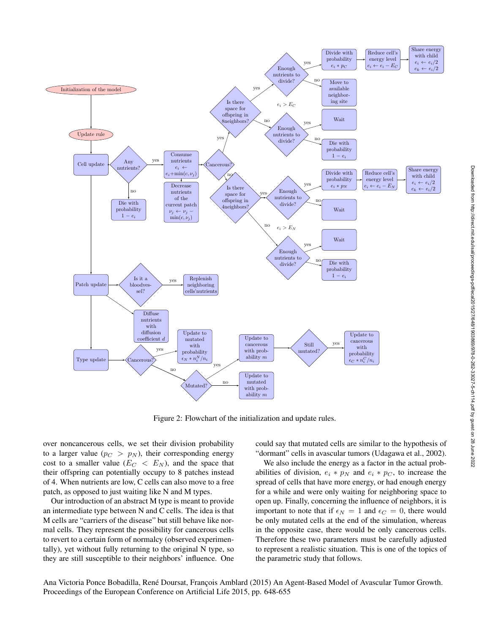

Figure 2: Flowchart of the initialization and update rules.

over noncancerous cells, we set their division probability to a larger value ( $p_C > p_N$ ), their corresponding energy cost to a smaller value  $(E_C < E_N)$ , and the space that their offspring can potentially occupy to 8 patches instead of 4. When nutrients are low, C cells can also move to a free patch, as opposed to just waiting like N and M types.

Our introduction of an abstract M type is meant to provide an intermediate type between N and C cells. The idea is that M cells are "carriers of the disease" but still behave like normal cells. They represent the possibility for cancerous cells to revert to a certain form of normalcy (observed experimentally), yet without fully returning to the original N type, so they are still susceptible to their neighbors' influence. One could say that mutated cells are similar to the hypothesis of "dormant" cells in avascular tumors (Udagawa et al., 2002).

We also include the energy as a factor in the actual probabilities of division,  $e_i * p_N$  and  $e_i * p_C$ , to increase the spread of cells that have more energy, or had enough energy for a while and were only waiting for neighboring space to open up. Finally, concerning the influence of neighbors, it is important to note that if  $\epsilon_N = 1$  and  $\epsilon_C = 0$ , there would be only mutated cells at the end of the simulation, whereas in the opposite case, there would be only cancerous cells. Therefore these two parameters must be carefully adjusted to represent a realistic situation. This is one of the topics of the parametric study that follows.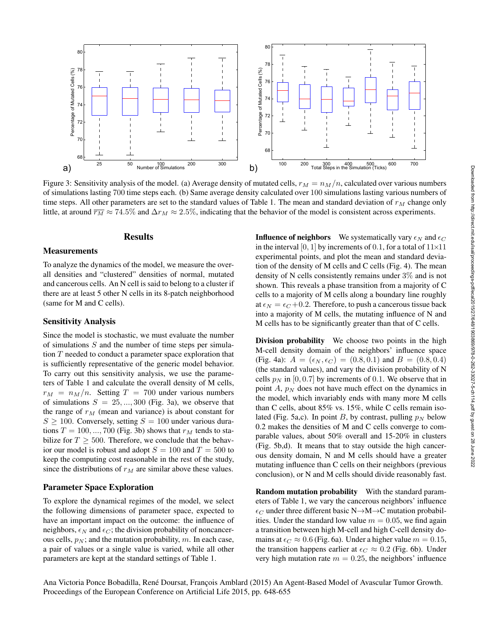

Figure 3: Sensitivity analysis of the model. (a) Average density of mutated cells,  $r_M = n_M/n$ , calculated over various numbers of simulations lasting 700 time steps each. (b) Same average density calculated over 100 simulations lasting various numbers of time steps. All other parameters are set to the standard values of Table 1. The mean and standard deviation of  $r<sub>M</sub>$  change only little, at around  $\overline{r_M} \approx 74.5\%$  and  $\Delta r_M \approx 2.5\%$ , indicating that the behavior of the model is consistent across experiments.

# **Results**

### **Measurements**

To analyze the dynamics of the model, we measure the overall densities and "clustered" densities of normal, mutated and cancerous cells. An N cell is said to belong to a cluster if there are at least 5 other N cells in its 8-patch neighborhood (same for M and C cells).

# Sensitivity Analysis

Since the model is stochastic, we must evaluate the number of simulations  $S$  and the number of time steps per simulation T needed to conduct a parameter space exploration that is sufficiently representative of the generic model behavior. To carry out this sensitivity analysis, we use the parameters of Table 1 and calculate the overall density of M cells,  $r_M = n_M/n$ . Setting  $T = 700$  under various numbers of simulations  $S = 25, ..., 300$  (Fig. 3a), we observe that the range of  $r_M$  (mean and variance) is about constant for  $S \ge 100$ . Conversely, setting  $S = 100$  under various durations  $T = 100, ..., 700$  (Fig. 3b) shows that  $r_M$  tends to stabilize for  $T > 500$ . Therefore, we conclude that the behavior our model is robust and adopt  $S = 100$  and  $T = 500$  to keep the computing cost reasonable in the rest of the study, since the distributions of  $r_M$  are similar above these values.

# Parameter Space Exploration

To explore the dynamical regimes of the model, we select the following dimensions of parameter space, expected to have an important impact on the outcome: the influence of neighbors,  $\epsilon_N$  and  $\epsilon_C$ ; the division probability of noncancerous cells,  $p_N$ ; and the mutation probability, m. In each case, a pair of values or a single value is varied, while all other parameters are kept at the standard settings of Table 1.

**Influence of neighbors** We systematically vary  $\epsilon_N$  and  $\epsilon_C$ in the interval [0, 1] by increments of 0.1, for a total of  $11\times11$ experimental points, and plot the mean and standard deviation of the density of M cells and C cells (Fig. 4). The mean density of N cells consistently remains under 3% and is not shown. This reveals a phase transition from a majority of C cells to a majority of M cells along a boundary line roughly at  $\epsilon_N = \epsilon_C + 0.2$ . Therefore, to push a cancerous tissue back into a majority of M cells, the mutating influence of N and M cells has to be significantly greater than that of C cells.

Division probability We choose two points in the high M-cell density domain of the neighbors' influence space (Fig. 4a):  $A = (\epsilon_N, \epsilon_C) = (0.8, 0.1)$  and  $B = (0.8, 0.4)$ (the standard values), and vary the division probability of N cells  $p_N$  in [0, 0.7] by increments of 0.1. We observe that in point  $A$ ,  $p_N$  does not have much effect on the dynamics in the model, which invariably ends with many more M cells than C cells, about 85% vs. 15%, while C cells remain isolated (Fig. 5a,c). In point B, by contrast, pulling  $p_N$  below 0.2 makes the densities of M and C cells converge to comparable values, about 50% overall and 15-20% in clusters (Fig. 5b,d). It means that to stay outside the high cancerous density domain, N and M cells should have a greater mutating influence than C cells on their neighbors (previous conclusion), or N and M cells should divide reasonably fast.

Random mutation probability With the standard parameters of Table 1, we vary the cancerous neighbors' influence  $\epsilon_C$  under three different basic N $\rightarrow$ M $\rightarrow$ C mutation probabilities. Under the standard low value  $m = 0.05$ , we find again a transition between high M-cell and high C-cell density domains at  $\epsilon_C \approx 0.6$  (Fig. 6a). Under a higher value  $m = 0.15$ , the transition happens earlier at  $\epsilon_C \approx 0.2$  (Fig. 6b). Under very high mutation rate  $m = 0.25$ , the neighbors' influence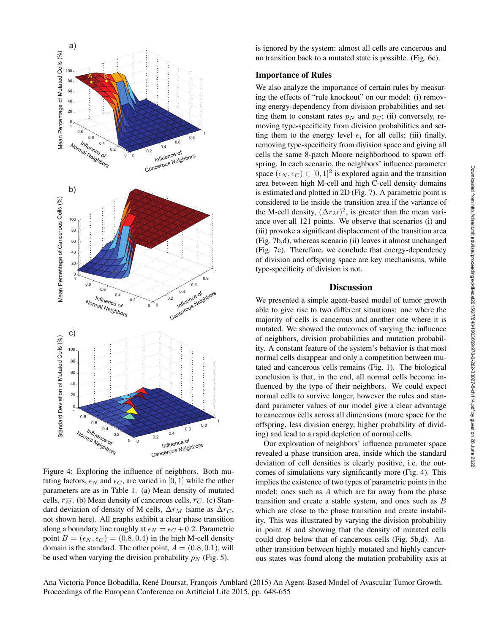

Figure 4: Exploring the influence of neighbors. Both mutating factors,  $\epsilon_N$  and  $\epsilon_C$ , are varied in [0, 1] while the other parameters are as in Table 1. (a) Mean density of mutated cells,  $\overline{r_M}$ . (b) Mean density of cancerous cells,  $\overline{r_C}$ . (c) Standard deviation of density of M cells,  $\Delta r_M$  (same as  $\Delta r_C$ , not shown here). All graphs exhibit a clear phase transition along a boundary line roughly at  $\epsilon_N = \epsilon_C + 0.2$ . Parametric point  $B = (\epsilon_N, \epsilon_C) = (0.8, 0.4)$  in the high M-cell density domain is the standard. The other point,  $A = (0.8, 0.1)$ , will be used when varying the division probability  $p_N$  (Fig. 5).

is ignored by the system: almost all cells are cancerous and no transition back to a mutated state is possible. (Fig. 6c).

# Importance of Rules

We also analyze the importance of certain rules by measuring the effects of "rule knockout" on our model: (i) removing energy-dependency from division probabilities and setting them to constant rates  $p<sub>N</sub>$  and  $p<sub>C</sub>$ ; (ii) conversely, removing type-specificity from division probabilities and setting them to the energy level  $e_i$  for all cells; (iii) finally, removing type-specificity from division space and giving all cells the same 8-patch Moore neighborhood to spawn offspring. In each scenario, the neighbors' influence parameter space  $(\epsilon_N, \epsilon_C) \in [0, 1]^2$  is explored again and the transition area between high M-cell and high C-cell density domains is estimated and plotted in 2D (Fig. 7). A parametric point is considered to lie inside the transition area if the variance of the M-cell density,  $(\Delta r_M)^2$ , is greater than the mean variance over all 121 points. We observe that scenarios (i) and (iii) provoke a significant displacement of the transition area (Fig. 7b,d), whereas scenario (ii) leaves it almost unchanged (Fig. 7c). Therefore, we conclude that energy-dependency of division and offspring space are key mechanisms, while type-specificity of division is not.

## **Discussion**

We presented a simple agent-based model of tumor growth able to give rise to two different situations: one where the majority of cells is cancerous and another one where it is mutated. We showed the outcomes of varying the influence of neighbors, division probabilities and mutation probability. A constant feature of the system's behavior is that most normal cells disappear and only a competition between mutated and cancerous cells remains (Fig. 1). The biological conclusion is that, in the end, all normal cells become influenced by the type of their neighbors. We could expect normal cells to survive longer, however the rules and standard parameter values of our model give a clear advantage to cancerous cells across all dimensions (more space for the offspring, less division energy, higher probability of dividing) and lead to a rapid depletion of normal cells.

Our exploration of neighbors' influence parameter space revealed a phase transition area, inside which the standard deviation of cell densities is clearly positive, i.e. the outcomes of simulations vary significantly more (Fig. 4). This implies the existence of two types of parametric points in the model: ones such as A which are far away from the phase transition and create a stable system, and ones such as B which are close to the phase transition and create instability. This was illustrated by varying the division probability in point  $B$  and showing that the density of mutated cells could drop below that of cancerous cells (Fig. 5b,d). Another transition between highly mutated and highly cancerous states was found along the mutation probability axis at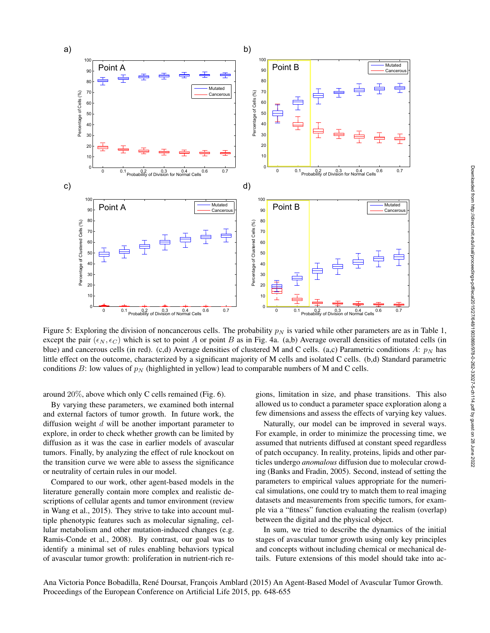

Figure 5: Exploring the division of noncancerous cells. The probability  $p<sub>N</sub>$  is varied while other parameters are as in Table 1, except the pair ( $\epsilon_N$ ,  $\epsilon_C$ ) which is set to point A or point B as in Fig. 4a. (a,b) Average overall densities of mutated cells (in blue) and cancerous cells (in red). (c,d) Average densities of clustered M and C cells. (a,c) Parametric conditions A:  $p_N$  has little effect on the outcome, characterized by a significant majority of M cells and isolated C cells. (b,d) Standard parametric conditions B: low values of  $p_N$  (highlighted in yellow) lead to comparable numbers of M and C cells.

around 20%, above which only C cells remained (Fig. 6).

By varying these parameters, we examined both internal and external factors of tumor growth. In future work, the diffusion weight  $d$  will be another important parameter to explore, in order to check whether growth can be limited by diffusion as it was the case in earlier models of avascular tumors. Finally, by analyzing the effect of rule knockout on the transition curve we were able to assess the significance or neutrality of certain rules in our model.

Compared to our work, other agent-based models in the literature generally contain more complex and realistic descriptions of cellular agents and tumor environment (review in Wang et al., 2015). They strive to take into account multiple phenotypic features such as molecular signaling, cellular metabolism and other mutation-induced changes (e.g. Ramis-Conde et al., 2008). By contrast, our goal was to identify a minimal set of rules enabling behaviors typical of avascular tumor growth: proliferation in nutrient-rich regions, limitation in size, and phase transitions. This also allowed us to conduct a parameter space exploration along a few dimensions and assess the effects of varying key values.

Naturally, our model can be improved in several ways. For example, in order to minimize the processing time, we assumed that nutrients diffused at constant speed regardless of patch occupancy. In reality, proteins, lipids and other particles undergo *anomalous* diffusion due to molecular crowding (Banks and Fradin, 2005). Second, instead of setting the parameters to empirical values appropriate for the numerical simulations, one could try to match them to real imaging datasets and measurements from specific tumors, for example via a "fitness" function evaluating the realism (overlap) between the digital and the physical object.

In sum, we tried to describe the dynamics of the initial stages of avascular tumor growth using only key principles and concepts without including chemical or mechanical details. Future extensions of this model should take into ac-